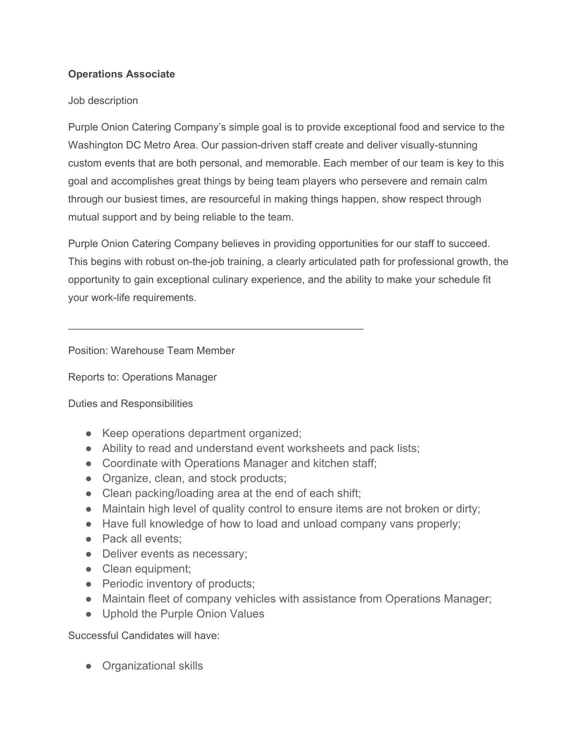## **Operations Associate**

## Job description

Purple Onion Catering Company's simple goal is to provide exceptional food and service to the Washington DC Metro Area. Our passion-driven staff create and deliver visually-stunning custom events that are both personal, and memorable. Each member of our team is key to this goal and accomplishes great things by being team players who persevere and remain calm through our busiest times, are resourceful in making things happen, show respect through mutual support and by being reliable to the team.

Purple Onion Catering Company believes in providing opportunities for our staff to succeed. This begins with robust on-the-job training, a clearly articulated path for professional growth, the opportunity to gain exceptional culinary experience, and the ability to make your schedule fit your work-life requirements.

Position: Warehouse Team Member

Reports to: Operations Manager

## Duties and Responsibilities

- Keep operations department organized;
- Ability to read and understand event worksheets and pack lists;
- Coordinate with Operations Manager and kitchen staff;
- Organize, clean, and stock products;
- Clean packing/loading area at the end of each shift;

\_\_\_\_\_\_\_\_\_\_\_\_\_\_\_\_\_\_\_\_\_\_\_\_\_\_\_\_\_\_\_\_\_\_\_\_\_\_\_\_\_\_\_\_\_\_\_\_\_\_\_

- Maintain high level of quality control to ensure items are not broken or dirty;
- Have full knowledge of how to load and unload company vans properly;
- Pack all events:
- Deliver events as necessary;
- Clean equipment;
- Periodic inventory of products;
- Maintain fleet of company vehicles with assistance from Operations Manager;
- Uphold the Purple Onion Values

Successful Candidates will have:

● Organizational skills